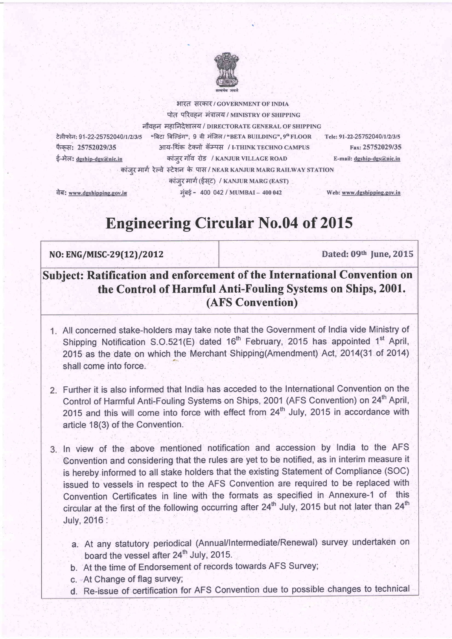

भारत सरकार/ GOVERNMENT OF INDIA पोत परिवहन मंत्रालय / MINISTRY OF SHIPPING

टेलीफोन: 91-22-25752040/1/2/3/5 फैकस: 25752029/35 ई-मेल: deship-des@nic.in

नौवहन महानिदेशालय / DIRECTORATE GENERAL OF SHIPPING "बिटा बिल्डिंग". 9 वी मंजिल / "BETA BUILDING", 9<sup>th</sup> FLOOR Tele: 91-22-25752040/1/2/3/5 आय-थिंक टेक्नो कॅम्पस / I-THINK TECHNO CAMPUS कांजर गाँव रोड / KANJUR VILLAGE ROAD E-mail: dgship-dgs@nic.in कांजर मार्ग रेल्वे स्टेशन के पास/NEAR KANJUR MARG RAILWAY STATION कांजर मार्ग (ईसट) / KANJUR MARG (EAST)

वेब: www.dgshipping.gov.in

Web: www.dgshipping.gov.in

Fax: 25752029/35

# **Engineering Circular No.04 of 2015**

मुंबई - 400 042 / MUMBAI - 400 042

# NO: ENG/MISC-29(12)/2012

Dated: 09th June, 2015

# Subject: Ratification and enforcement of the International Convention on the Control of Harmful Anti-Fouling Systems on Ships, 2001. (AFS Convention)

- 1. All concerned stake-holders may take note that the Government of India vide Ministry of Shipping Notification S.O.521(E) dated 16<sup>th</sup> February, 2015 has appointed 1<sup>st</sup> April, 2015 as the date on which the Merchant Shipping (Amendment) Act. 2014 (31 of 2014) shall come into force
- 2. Further it is also informed that India has acceded to the International Convention on the Control of Harmful Anti-Fouling Systems on Ships, 2001 (AFS Convention) on 24<sup>th</sup> April. 2015 and this will come into force with effect from 24<sup>th</sup> July, 2015 in accordance with article 18(3) of the Convention.
- 3. In view of the above mentioned notification and accession by India to the AFS Convention and considering that the rules are yet to be notified, as in interim measure it is hereby informed to all stake holders that the existing Statement of Compliance (SOC) issued to vessels in respect to the AFS Convention are required to be replaced with Convention Certificates in line with the formats as specified in Annexure-1 of this circular at the first of the following occurring after 24<sup>th</sup> July, 2015 but not later than 24<sup>th</sup> July, 2016 :
	- a. At any statutory periodical (Annual/Intermediate/Renewal) survey undertaken on board the vessel after 24<sup>th</sup> July, 2015.
	- b. At the time of Endorsement of records towards AFS Survey;
	- c. At Change of flag survey;
	- d. Re-issue of certification for AFS Convention due to possible changes to technical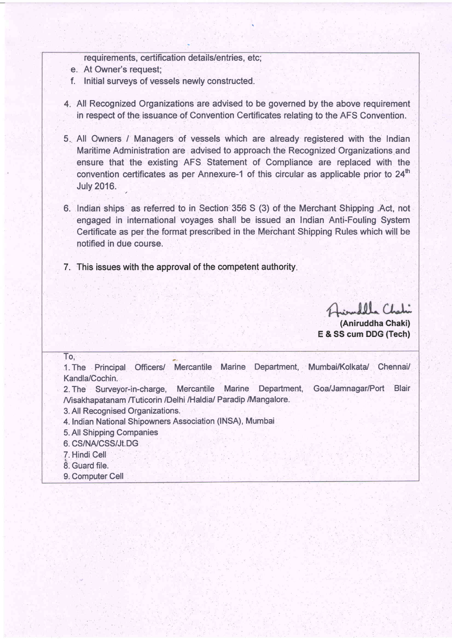requirements, certification details/entries, etc;

- e. At Owner's request;
- f. Initial surveys of vessels newly constructed.
- All Recognized Organizations are advised to be governed by the above requirement in respect of the issuance of Convention Certificates relating to the AFS Convention.
- 5 All Owners / Managers of vessels which are already registered with the Indian Maritime Administration are advised to approach the Recognized Organizations and ensure that the existing AFS Statement of Compliance are replaced with the convention certificates as per Annexure-1 of this circular as applicable prior to  $24<sup>th</sup>$ **July 2016.** ,
- 6. Indian ships as referred to in Section 356 S (3) of the Merchant Shipping .Act, not engaged in international voyages shall be issued an Indian Anti-Fouling System Certificate as per the format prescribed in the Merchant Shipping Rules which will be notified in due course.
- 7. This issues with the approval of the competent authority

 $0<sub>0</sub>$ 

(Aniruddha Chaki) E & SS cum DDG (Tech)

To, on the state of the state of the 1. The Principal Officers/ Mercantile Marine Department, Mumbai/Kolkata/ Chennai/ Kandla/Cochin. 2. The Surveyor-in-charge, Mercantile Marine Department, **Nisakhapatanam /Tuticorin /Delhi /Haldia/ Paradip /Mangalore.** 3. All Recognised Organizations. 4. Indian National Shipowners Association (INSA), Mumbai 5. All Shipping Companies 6. CS/NA/CSS/JI.DG : T. Hindi Cell 8. Guard file. 9, Computer Cell Goa/Jamnagar/Port Blair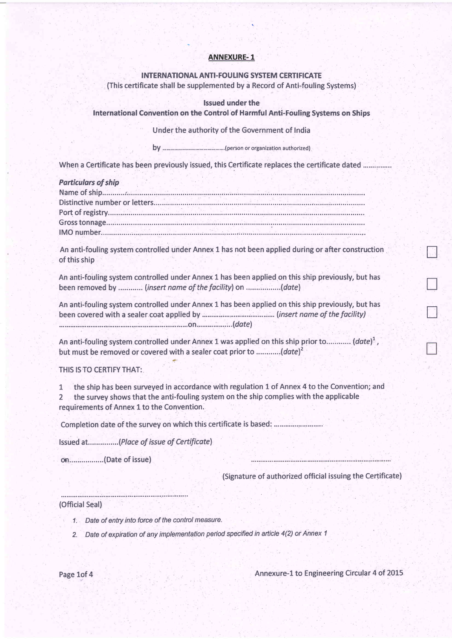# **ANNEXURE-1**

## **INTERNATIONAL ANTI-FOULING SYSTEM CERTIFICATE**

(This certificate shall be supplemented by a Record of Anti-fouling Systems)

#### **Issued under the**

International Convention on the Control of Harmful Anti-Fouling Systems on Ships

Under the authority of the Government of India

When a Certificate has been previously issued, this Certificate replaces the certificate dated ...............

| <b>Particulars of ship</b> |  |  |  |
|----------------------------|--|--|--|
|                            |  |  |  |
|                            |  |  |  |
|                            |  |  |  |
|                            |  |  |  |
|                            |  |  |  |
|                            |  |  |  |

An anti-fouling system controlled under Annex 1 has not been applied during or after construction of this ship

An anti-fouling system controlled under Annex 1 has been applied on this ship previously, but has been removed by ............ (insert name of the facility) on .................(date)

An anti-fouling system controlled under Annex 1 has been applied on this ship previously, but has 

An anti-fouling system controlled under Annex 1 was applied on this ship prior to............ (date)<sup>1</sup>, but must be removed or covered with a sealer coat prior to .............(date)<sup>2</sup>

THIS IS TO CERTIFY THAT:

the ship has been surveyed in accordance with regulation 1 of Annex 4 to the Convention; and  $1$ the survey shows that the anti-fouling system on the ship complies with the applicable  $\overline{\phantom{a}}$ requirements of Annex 1 to the Convention.

Completion date of the survey on which this certificate is based: .................................

Issued at................(Place of issue of Certificate)

on..................(Date of issue)

(Signature of authorized official issuing the Certificate)

#### (Official Seal)

- 1. Date of entry into force of the control measure.
- 2. Date of expiration of any implementation period specified in article 4(2) or Annex 1

Annexure-1 to Engineering Circular 4 of 2015

Page 1of 4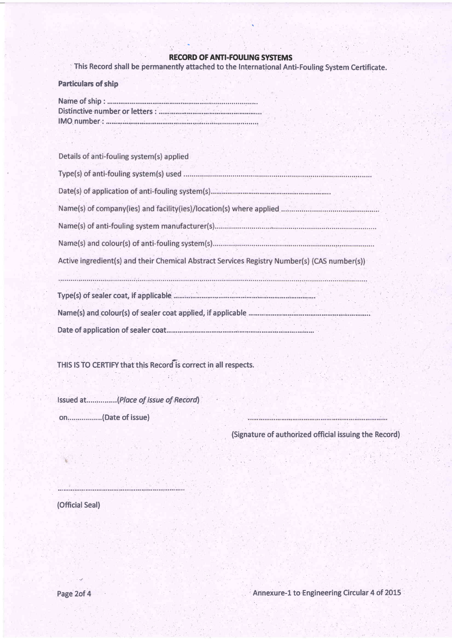# **RECORD OF ANTI-FOULING SYSTEMS**

This Record shall be permanently attached to the International Anti-Fouling System Certificate.

| <b>Particulars of ship</b> |  |
|----------------------------|--|
|                            |  |

Details of anti-fouling system(s) applied

| Active ingredient(s) and their Chemical Abstract Services Registry Number(s) (CAS number(s)) |
|----------------------------------------------------------------------------------------------|
|                                                                                              |
|                                                                                              |
|                                                                                              |

THIS IS TO CERTIFY that this Record is correct in all respects.

Issued at...............(Place of issue of Record) on.................(Date of issue)

(Signature of authorized official issuing the Record)

(Official Seal)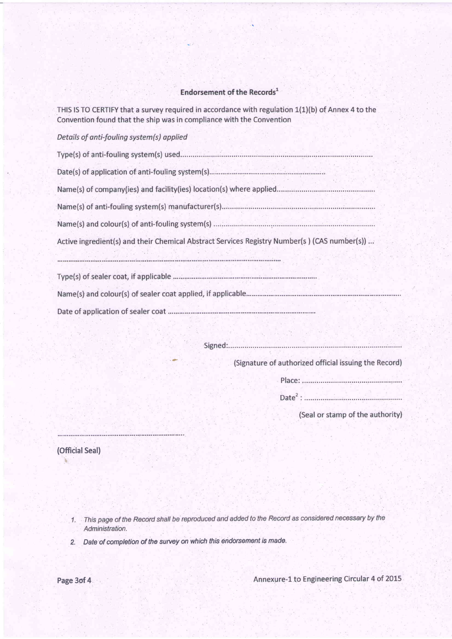# Endorsement of the Records<sup>1</sup>

THIS IS TO CERTIFY that a survey required in accordance with regulation 1(1)(b) of Annex 4 to the Convention found that the ship was in compliance with the Convention

# Details of anti-fouling system(s) applied

| Active ingredient(s) and their Chemical Abstract Services Registry Number(s) (CAS number(s)) |
|----------------------------------------------------------------------------------------------|
|                                                                                              |
|                                                                                              |
| Name(s) and colour(s) of sealer coat applied, if applicable                                  |

(Signature of authorized official issuing the Record) 

(Seal or stamp of the authority)

(Official Seal)  $\ddot{\phantom{0}}$ 

1. This page of the Record shall be reproduced and added to the Record as considered necessary by the Administration.

2. Date of completion of the survey on which this endorsement is made.

-

Annexure-1 to Engineering Circular 4 of 2015

Page 3of 4